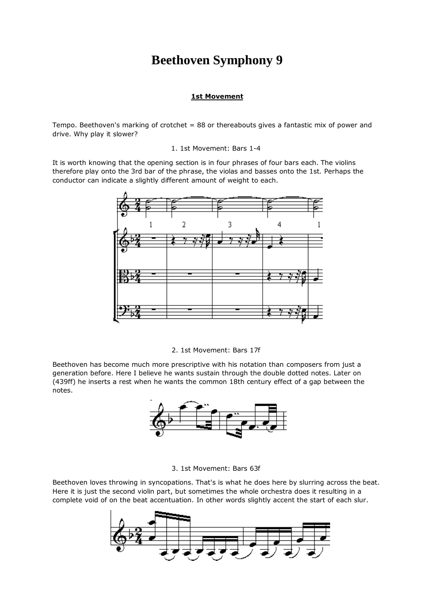# **Beethoven Symphony 9**

## **1st Movement**

Tempo. Beethoven's marking of crotchet = 88 or thereabouts gives a fantastic mix of power and drive. Why play it slower?

#### 1. 1st Movement: Bars 1-4

It is worth knowing that the opening section is in four phrases of four bars each. The violins therefore play onto the 3rd bar of the phrase, the violas and basses onto the 1st. Perhaps the conductor can indicate a slightly different amount of weight to each.



2. 1st Movement: Bars 17f

Beethoven has become much more prescriptive with his notation than composers from just a generation before. Here I believe he wants sustain through the double dotted notes. Later on (439ff) he inserts a rest when he wants the common 18th century effect of a gap between the notes.



3. 1st Movement: Bars 63f

Beethoven loves throwing in syncopations. That's is what he does here by slurring across the beat. Here it is just the second violin part, but sometimes the whole orchestra does it resulting in a complete void of on the beat accentuation. In other words slightly accent the start of each slur.

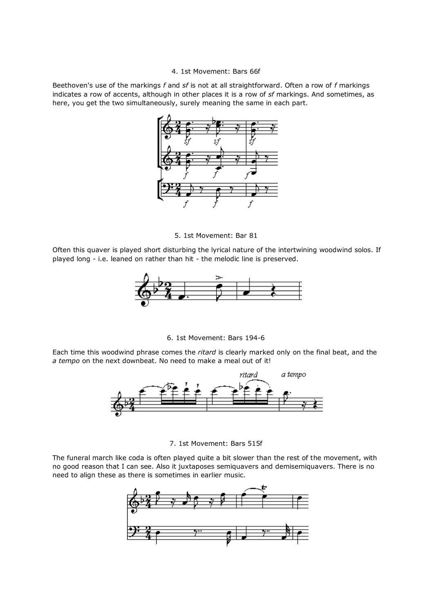#### 4. 1st Movement: Bars 66f

Beethoven's use of the markings *f* and *sf* is not at all straightforward. Often a row of *f* markings indicates a row of accents, although in other places it is a row of *sf* markings. And sometimes, as here, you get the two simultaneously, surely meaning the same in each part.



5. 1st Movement: Bar 81

Often this quaver is played short disturbing the lyrical nature of the intertwining woodwind solos. If played long - i.e. leaned on rather than hit - the melodic line is preserved.



6. 1st Movement: Bars 194-6

Each time this woodwind phrase comes the *ritard* is clearly marked only on the final beat, and the *a tempo* on the next downbeat. No need to make a meal out of it!



#### 7. 1st Movement: Bars 515f

The funeral march like coda is often played quite a bit slower than the rest of the movement, with no good reason that I can see. Also it juxtaposes semiquavers and demisemiquavers. There is no need to align these as there is sometimes in earlier music.

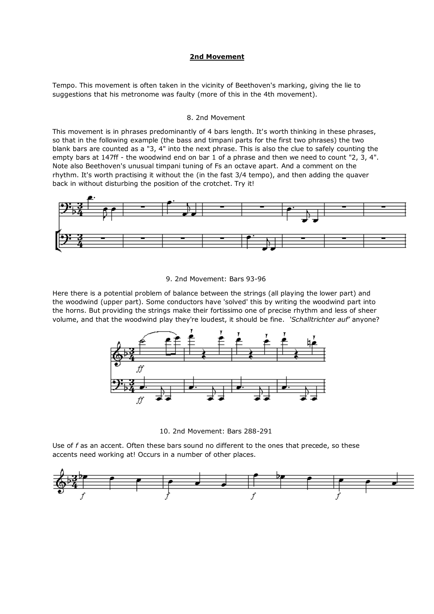## **2nd Movement**

Tempo. This movement is often taken in the vicinity of Beethoven's marking, giving the lie to suggestions that his metronome was faulty (more of this in the 4th movement).

#### 8. 2nd Movement

This movement is in phrases predominantly of 4 bars length. It's worth thinking in these phrases, so that in the following example (the bass and timpani parts for the first two phrases) the two blank bars are counted as a "3, 4" into the next phrase. This is also the clue to safely counting the empty bars at 147ff - the woodwind end on bar 1 of a phrase and then we need to count "2, 3, 4". Note also Beethoven's unusual timpani tuning of Fs an octave apart. And a comment on the rhythm. It's worth practising it without the (in the fast 3/4 tempo), and then adding the quaver back in without disturbing the position of the crotchet. Try it!



9. 2nd Movement: Bars 93-96

Here there is a potential problem of balance between the strings (all playing the lower part) and the woodwind (upper part). Some conductors have 'solved' this by writing the woodwind part into the horns. But providing the strings make their fortissimo one of precise rhythm and less of sheer volume, and that the woodwind play they're loudest, it should be fine. *'Schalltrichter auf'* anyone?



10. 2nd Movement: Bars 288-291

Use of *f* as an accent. Often these bars sound no different to the ones that precede, so these accents need working at! Occurs in a number of other places.

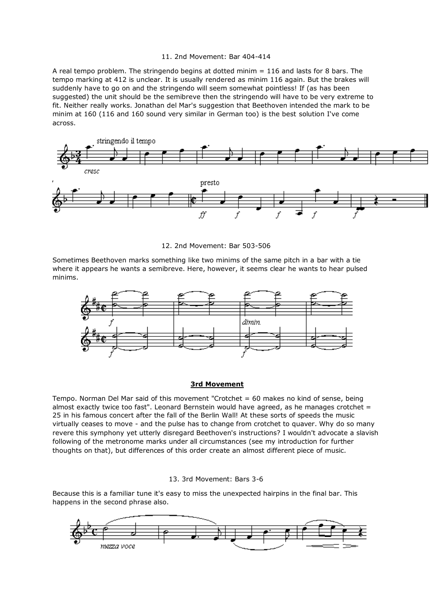#### 11. 2nd Movement: Bar 404-414

A real tempo problem. The stringendo begins at dotted minim = 116 and lasts for 8 bars. The tempo marking at 412 is unclear. It is usually rendered as minim 116 again. But the brakes will suddenly have to go on and the stringendo will seem somewhat pointless! If (as has been suggested) the unit should be the semibreve then the stringendo will have to be very extreme to fit. Neither really works. Jonathan del Mar's suggestion that Beethoven intended the mark to be minim at 160 (116 and 160 sound very similar in German too) is the best solution I've come across.



12. 2nd Movement: Bar 503-506

Sometimes Beethoven marks something like two minims of the same pitch in a bar with a tie where it appears he wants a semibreve. Here, however, it seems clear he wants to hear pulsed minims.



## **3rd Movement**

Tempo. Norman Del Mar said of this movement "Crotchet = 60 makes no kind of sense, being almost exactly twice too fast". Leonard Bernstein would have agreed, as he manages crotchet  $=$ 25 in his famous concert after the fall of the Berlin Wall! At these sorts of speeds the music virtually ceases to move - and the pulse has to change from crotchet to quaver. Why do so many revere this symphony yet utterly disregard Beethoven's instructions? I wouldn't advocate a slavish following of the metronome marks under all circumstances (see my introduction for further thoughts on that), but differences of this order create an almost different piece of music.

## 13. 3rd Movement: Bars 3-6

Because this is a familiar tune it's easy to miss the unexpected hairpins in the final bar. This happens in the second phrase also.

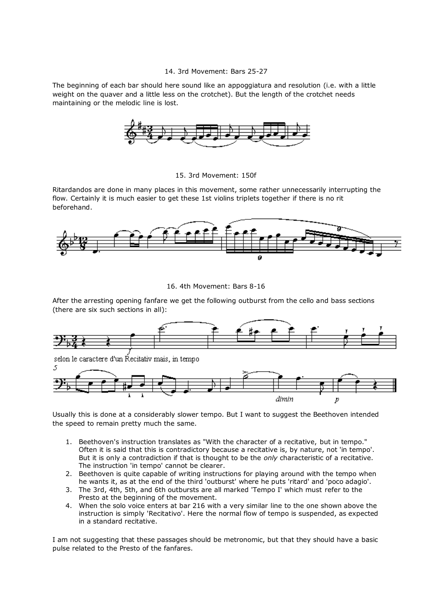## 14. 3rd Movement: Bars 25-27

The beginning of each bar should here sound like an appoggiatura and resolution (i.e. with a little weight on the quaver and a little less on the crotchet). But the length of the crotchet needs maintaining or the melodic line is lost.



## 15. 3rd Movement: 150f

Ritardandos are done in many places in this movement, some rather unnecessarily interrupting the flow. Certainly it is much easier to get these 1st violins triplets together if there is no rit beforehand.





After the arresting opening fanfare we get the following outburst from the cello and bass sections (there are six such sections in all):



Usually this is done at a considerably slower tempo. But I want to suggest the Beethoven intended the speed to remain pretty much the same.

- 1. Beethoven's instruction translates as "With the character of a recitative, but in tempo." Often it is said that this is contradictory because a recitative is, by nature, not 'in tempo'. But it is only a contradiction if that is thought to be the *only* characteristic of a recitative. The instruction 'in tempo' cannot be clearer.
- 2. Beethoven is quite capable of writing instructions for playing around with the tempo when he wants it, as at the end of the third 'outburst' where he puts 'ritard' and 'poco adagio'.
- 3. The 3rd, 4th, 5th, and 6th outbursts are all marked 'Tempo I' which must refer to the Presto at the beginning of the movement.
- 4. When the solo voice enters at bar 216 with a very similar line to the one shown above the instruction is simply 'Recitativo'. Here the normal flow of tempo is suspended, as expected in a standard recitative.

I am not suggesting that these passages should be metronomic, but that they should have a basic pulse related to the Presto of the fanfares.